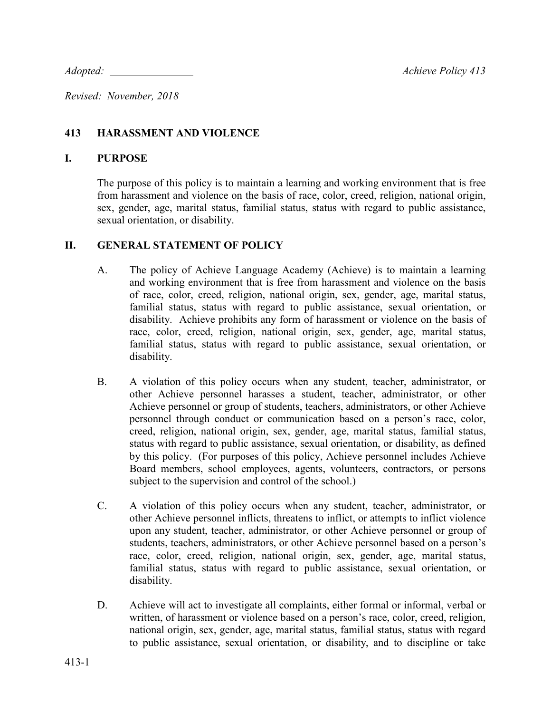*Adopted: Achieve Policy 413*

*Revised: November, 2018* 

## **413 HARASSMENT AND VIOLENCE**

### **I. PURPOSE**

The purpose of this policy is to maintain a learning and working environment that is free from harassment and violence on the basis of race, color, creed, religion, national origin, sex, gender, age, marital status, familial status, status with regard to public assistance, sexual orientation, or disability.

## **II. GENERAL STATEMENT OF POLICY**

- A. The policy of Achieve Language Academy (Achieve) is to maintain a learning and working environment that is free from harassment and violence on the basis of race, color, creed, religion, national origin, sex, gender, age, marital status, familial status, status with regard to public assistance, sexual orientation, or disability. Achieve prohibits any form of harassment or violence on the basis of race, color, creed, religion, national origin, sex, gender, age, marital status, familial status, status with regard to public assistance, sexual orientation, or disability.
- B. A violation of this policy occurs when any student, teacher, administrator, or other Achieve personnel harasses a student, teacher, administrator, or other Achieve personnel or group of students, teachers, administrators, or other Achieve personnel through conduct or communication based on a person's race, color, creed, religion, national origin, sex, gender, age, marital status, familial status, status with regard to public assistance, sexual orientation, or disability, as defined by this policy. (For purposes of this policy, Achieve personnel includes Achieve Board members, school employees, agents, volunteers, contractors, or persons subject to the supervision and control of the school.)
- C. A violation of this policy occurs when any student, teacher, administrator, or other Achieve personnel inflicts, threatens to inflict, or attempts to inflict violence upon any student, teacher, administrator, or other Achieve personnel or group of students, teachers, administrators, or other Achieve personnel based on a person's race, color, creed, religion, national origin, sex, gender, age, marital status, familial status, status with regard to public assistance, sexual orientation, or disability.
- D. Achieve will act to investigate all complaints, either formal or informal, verbal or written, of harassment or violence based on a person's race, color, creed, religion, national origin, sex, gender, age, marital status, familial status, status with regard to public assistance, sexual orientation, or disability, and to discipline or take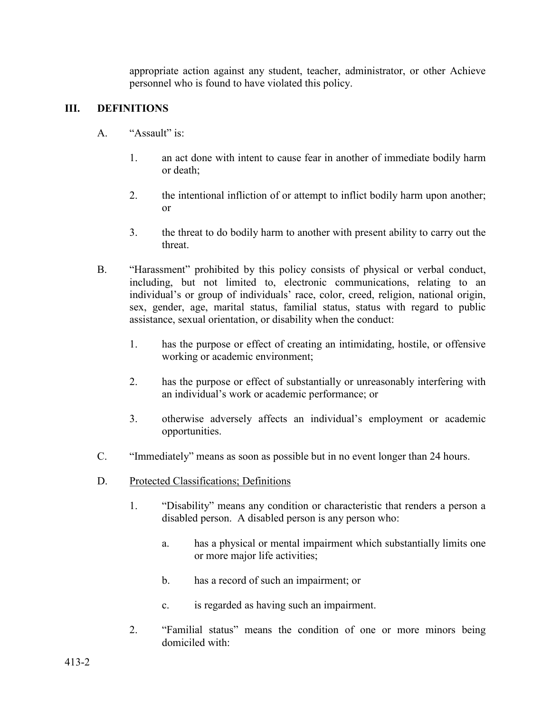appropriate action against any student, teacher, administrator, or other Achieve personnel who is found to have violated this policy.

## **III. DEFINITIONS**

- A. "Assault" is:
	- 1. an act done with intent to cause fear in another of immediate bodily harm or death;
	- 2. the intentional infliction of or attempt to inflict bodily harm upon another; or
	- 3. the threat to do bodily harm to another with present ability to carry out the threat.
- B. "Harassment" prohibited by this policy consists of physical or verbal conduct, including, but not limited to, electronic communications, relating to an individual's or group of individuals' race, color, creed, religion, national origin, sex, gender, age, marital status, familial status, status with regard to public assistance, sexual orientation, or disability when the conduct:
	- 1. has the purpose or effect of creating an intimidating, hostile, or offensive working or academic environment;
	- 2. has the purpose or effect of substantially or unreasonably interfering with an individual's work or academic performance; or
	- 3. otherwise adversely affects an individual's employment or academic opportunities.
- C. "Immediately" means as soon as possible but in no event longer than 24 hours.
- D. Protected Classifications; Definitions
	- 1. "Disability" means any condition or characteristic that renders a person a disabled person. A disabled person is any person who:
		- a. has a physical or mental impairment which substantially limits one or more major life activities;
		- b. has a record of such an impairment; or
		- c. is regarded as having such an impairment.
	- 2. "Familial status" means the condition of one or more minors being domiciled with: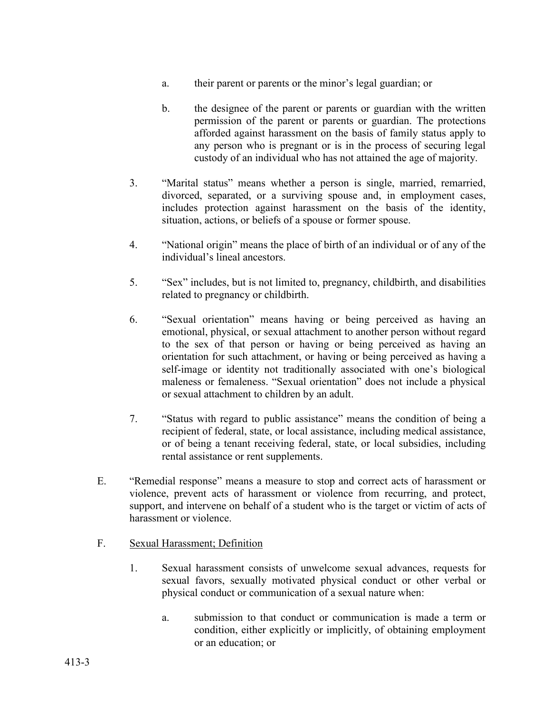- a. their parent or parents or the minor's legal guardian; or
- b. the designee of the parent or parents or guardian with the written permission of the parent or parents or guardian. The protections afforded against harassment on the basis of family status apply to any person who is pregnant or is in the process of securing legal custody of an individual who has not attained the age of majority.
- 3. "Marital status" means whether a person is single, married, remarried, divorced, separated, or a surviving spouse and, in employment cases, includes protection against harassment on the basis of the identity, situation, actions, or beliefs of a spouse or former spouse.
- 4. "National origin" means the place of birth of an individual or of any of the individual's lineal ancestors.
- 5. "Sex" includes, but is not limited to, pregnancy, childbirth, and disabilities related to pregnancy or childbirth.
- 6. "Sexual orientation" means having or being perceived as having an emotional, physical, or sexual attachment to another person without regard to the sex of that person or having or being perceived as having an orientation for such attachment, or having or being perceived as having a self-image or identity not traditionally associated with one's biological maleness or femaleness. "Sexual orientation" does not include a physical or sexual attachment to children by an adult.
- 7. "Status with regard to public assistance" means the condition of being a recipient of federal, state, or local assistance, including medical assistance, or of being a tenant receiving federal, state, or local subsidies, including rental assistance or rent supplements.
- E. "Remedial response" means a measure to stop and correct acts of harassment or violence, prevent acts of harassment or violence from recurring, and protect, support, and intervene on behalf of a student who is the target or victim of acts of harassment or violence.
- F. Sexual Harassment; Definition
	- 1. Sexual harassment consists of unwelcome sexual advances, requests for sexual favors, sexually motivated physical conduct or other verbal or physical conduct or communication of a sexual nature when:
		- a. submission to that conduct or communication is made a term or condition, either explicitly or implicitly, of obtaining employment or an education; or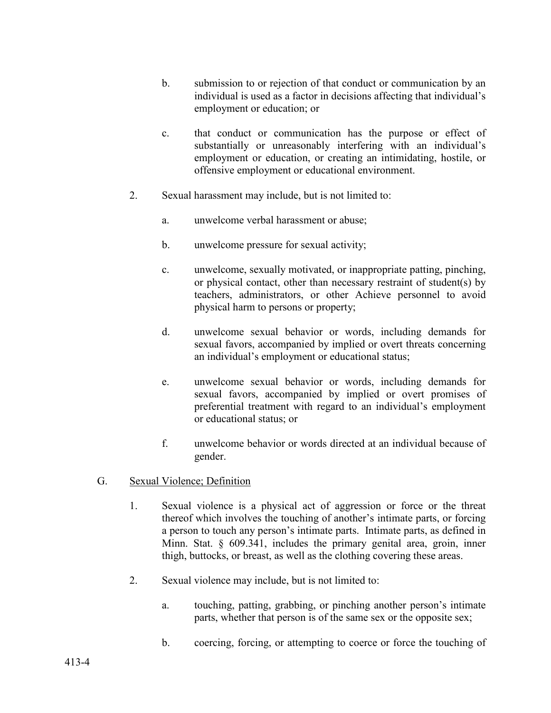- b. submission to or rejection of that conduct or communication by an individual is used as a factor in decisions affecting that individual's employment or education; or
- c. that conduct or communication has the purpose or effect of substantially or unreasonably interfering with an individual's employment or education, or creating an intimidating, hostile, or offensive employment or educational environment.
- 2. Sexual harassment may include, but is not limited to:
	- a. unwelcome verbal harassment or abuse;
	- b. unwelcome pressure for sexual activity;
	- c. unwelcome, sexually motivated, or inappropriate patting, pinching, or physical contact, other than necessary restraint of student(s) by teachers, administrators, or other Achieve personnel to avoid physical harm to persons or property;
	- d. unwelcome sexual behavior or words, including demands for sexual favors, accompanied by implied or overt threats concerning an individual's employment or educational status;
	- e. unwelcome sexual behavior or words, including demands for sexual favors, accompanied by implied or overt promises of preferential treatment with regard to an individual's employment or educational status; or
	- f. unwelcome behavior or words directed at an individual because of gender.
- G. Sexual Violence; Definition
	- 1. Sexual violence is a physical act of aggression or force or the threat thereof which involves the touching of another's intimate parts, or forcing a person to touch any person's intimate parts. Intimate parts, as defined in Minn. Stat. § 609.341, includes the primary genital area, groin, inner thigh, buttocks, or breast, as well as the clothing covering these areas.
	- 2. Sexual violence may include, but is not limited to:
		- a. touching, patting, grabbing, or pinching another person's intimate parts, whether that person is of the same sex or the opposite sex;
		- b. coercing, forcing, or attempting to coerce or force the touching of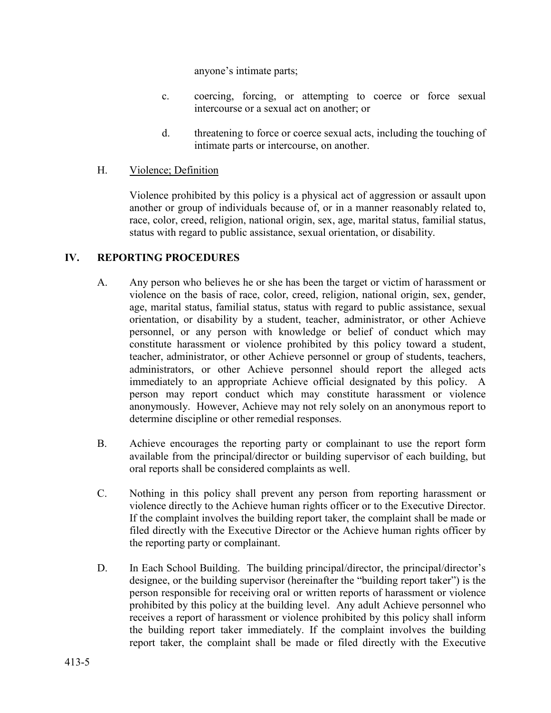anyone's intimate parts;

- c. coercing, forcing, or attempting to coerce or force sexual intercourse or a sexual act on another; or
- d. threatening to force or coerce sexual acts, including the touching of intimate parts or intercourse, on another.
- H. Violence; Definition

Violence prohibited by this policy is a physical act of aggression or assault upon another or group of individuals because of, or in a manner reasonably related to, race, color, creed, religion, national origin, sex, age, marital status, familial status, status with regard to public assistance, sexual orientation, or disability.

#### **IV. REPORTING PROCEDURES**

- A. Any person who believes he or she has been the target or victim of harassment or violence on the basis of race, color, creed, religion, national origin, sex, gender, age, marital status, familial status, status with regard to public assistance, sexual orientation, or disability by a student, teacher, administrator, or other Achieve personnel, or any person with knowledge or belief of conduct which may constitute harassment or violence prohibited by this policy toward a student, teacher, administrator, or other Achieve personnel or group of students, teachers, administrators, or other Achieve personnel should report the alleged acts immediately to an appropriate Achieve official designated by this policy. A person may report conduct which may constitute harassment or violence anonymously. However, Achieve may not rely solely on an anonymous report to determine discipline or other remedial responses.
- B. Achieve encourages the reporting party or complainant to use the report form available from the principal/director or building supervisor of each building, but oral reports shall be considered complaints as well.
- C. Nothing in this policy shall prevent any person from reporting harassment or violence directly to the Achieve human rights officer or to the Executive Director. If the complaint involves the building report taker, the complaint shall be made or filed directly with the Executive Director or the Achieve human rights officer by the reporting party or complainant.
- D. In Each School Building. The building principal/director, the principal/director's designee, or the building supervisor (hereinafter the "building report taker") is the person responsible for receiving oral or written reports of harassment or violence prohibited by this policy at the building level. Any adult Achieve personnel who receives a report of harassment or violence prohibited by this policy shall inform the building report taker immediately. If the complaint involves the building report taker, the complaint shall be made or filed directly with the Executive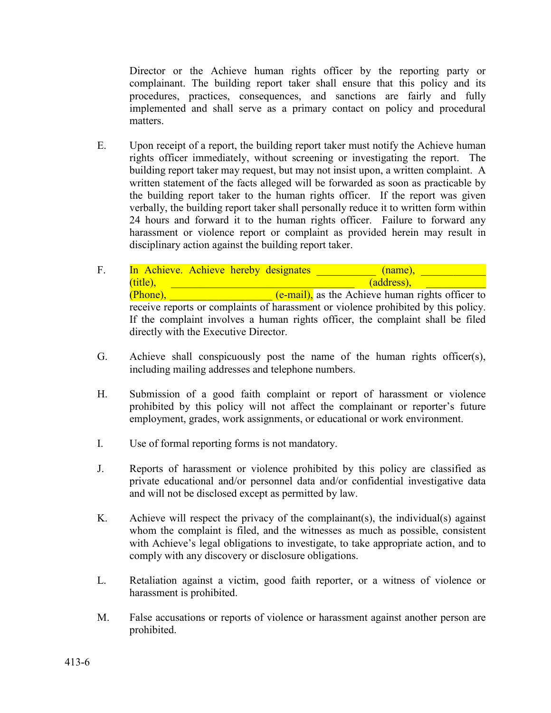Director or the Achieve human rights officer by the reporting party or complainant. The building report taker shall ensure that this policy and its procedures, practices, consequences, and sanctions are fairly and fully implemented and shall serve as a primary contact on policy and procedural matters.

- E. Upon receipt of a report, the building report taker must notify the Achieve human rights officer immediately, without screening or investigating the report. The building report taker may request, but may not insist upon, a written complaint. A written statement of the facts alleged will be forwarded as soon as practicable by the building report taker to the human rights officer. If the report was given verbally, the building report taker shall personally reduce it to written form within 24 hours and forward it to the human rights officer. Failure to forward any harassment or violence report or complaint as provided herein may result in disciplinary action against the building report taker.
- F. In Achieve. Achieve hereby designates (name),  $(\text{title}),$   $(\text{address}),$  $(Phone),$   $(e-mail),$  as the Achieve human rights officer to receive reports or complaints of harassment or violence prohibited by this policy. If the complaint involves a human rights officer, the complaint shall be filed directly with the Executive Director.
- G. Achieve shall conspicuously post the name of the human rights officer(s), including mailing addresses and telephone numbers.
- H. Submission of a good faith complaint or report of harassment or violence prohibited by this policy will not affect the complainant or reporter's future employment, grades, work assignments, or educational or work environment.
- I. Use of formal reporting forms is not mandatory.
- J. Reports of harassment or violence prohibited by this policy are classified as private educational and/or personnel data and/or confidential investigative data and will not be disclosed except as permitted by law.
- K. Achieve will respect the privacy of the complainant(s), the individual(s) against whom the complaint is filed, and the witnesses as much as possible, consistent with Achieve's legal obligations to investigate, to take appropriate action, and to comply with any discovery or disclosure obligations.
- L. Retaliation against a victim, good faith reporter, or a witness of violence or harassment is prohibited.
- M. False accusations or reports of violence or harassment against another person are prohibited.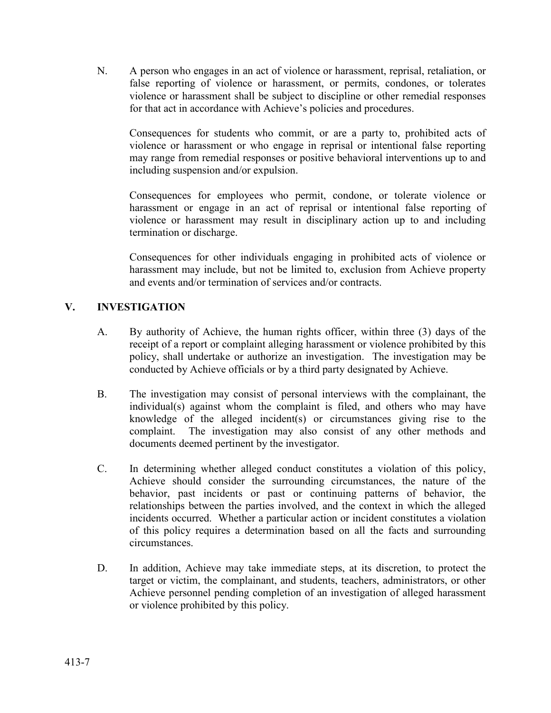N. A person who engages in an act of violence or harassment, reprisal, retaliation, or false reporting of violence or harassment, or permits, condones, or tolerates violence or harassment shall be subject to discipline or other remedial responses for that act in accordance with Achieve's policies and procedures.

Consequences for students who commit, or are a party to, prohibited acts of violence or harassment or who engage in reprisal or intentional false reporting may range from remedial responses or positive behavioral interventions up to and including suspension and/or expulsion.

Consequences for employees who permit, condone, or tolerate violence or harassment or engage in an act of reprisal or intentional false reporting of violence or harassment may result in disciplinary action up to and including termination or discharge.

Consequences for other individuals engaging in prohibited acts of violence or harassment may include, but not be limited to, exclusion from Achieve property and events and/or termination of services and/or contracts.

# **V. INVESTIGATION**

- A. By authority of Achieve, the human rights officer, within three (3) days of the receipt of a report or complaint alleging harassment or violence prohibited by this policy, shall undertake or authorize an investigation. The investigation may be conducted by Achieve officials or by a third party designated by Achieve.
- B. The investigation may consist of personal interviews with the complainant, the individual(s) against whom the complaint is filed, and others who may have knowledge of the alleged incident(s) or circumstances giving rise to the complaint. The investigation may also consist of any other methods and documents deemed pertinent by the investigator.
- C. In determining whether alleged conduct constitutes a violation of this policy, Achieve should consider the surrounding circumstances, the nature of the behavior, past incidents or past or continuing patterns of behavior, the relationships between the parties involved, and the context in which the alleged incidents occurred. Whether a particular action or incident constitutes a violation of this policy requires a determination based on all the facts and surrounding circumstances.
- D. In addition, Achieve may take immediate steps, at its discretion, to protect the target or victim, the complainant, and students, teachers, administrators, or other Achieve personnel pending completion of an investigation of alleged harassment or violence prohibited by this policy.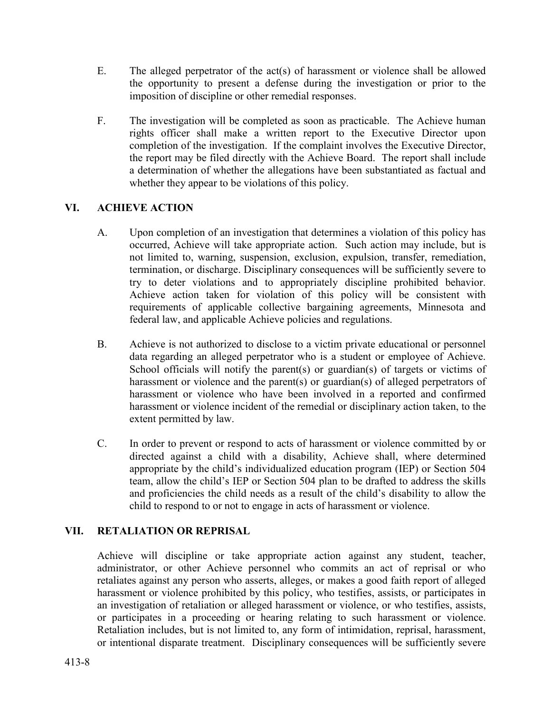- E. The alleged perpetrator of the act(s) of harassment or violence shall be allowed the opportunity to present a defense during the investigation or prior to the imposition of discipline or other remedial responses.
- F. The investigation will be completed as soon as practicable. The Achieve human rights officer shall make a written report to the Executive Director upon completion of the investigation. If the complaint involves the Executive Director, the report may be filed directly with the Achieve Board. The report shall include a determination of whether the allegations have been substantiated as factual and whether they appear to be violations of this policy.

# **VI. ACHIEVE ACTION**

- A. Upon completion of an investigation that determines a violation of this policy has occurred, Achieve will take appropriate action. Such action may include, but is not limited to, warning, suspension, exclusion, expulsion, transfer, remediation, termination, or discharge. Disciplinary consequences will be sufficiently severe to try to deter violations and to appropriately discipline prohibited behavior. Achieve action taken for violation of this policy will be consistent with requirements of applicable collective bargaining agreements, Minnesota and federal law, and applicable Achieve policies and regulations.
- B. Achieve is not authorized to disclose to a victim private educational or personnel data regarding an alleged perpetrator who is a student or employee of Achieve. School officials will notify the parent(s) or guardian(s) of targets or victims of harassment or violence and the parent(s) or guardian(s) of alleged perpetrators of harassment or violence who have been involved in a reported and confirmed harassment or violence incident of the remedial or disciplinary action taken, to the extent permitted by law.
- C. In order to prevent or respond to acts of harassment or violence committed by or directed against a child with a disability, Achieve shall, where determined appropriate by the child's individualized education program (IEP) or Section 504 team, allow the child's IEP or Section 504 plan to be drafted to address the skills and proficiencies the child needs as a result of the child's disability to allow the child to respond to or not to engage in acts of harassment or violence.

## **VII. RETALIATION OR REPRISAL**

Achieve will discipline or take appropriate action against any student, teacher, administrator, or other Achieve personnel who commits an act of reprisal or who retaliates against any person who asserts, alleges, or makes a good faith report of alleged harassment or violence prohibited by this policy, who testifies, assists, or participates in an investigation of retaliation or alleged harassment or violence, or who testifies, assists, or participates in a proceeding or hearing relating to such harassment or violence. Retaliation includes, but is not limited to, any form of intimidation, reprisal, harassment, or intentional disparate treatment. Disciplinary consequences will be sufficiently severe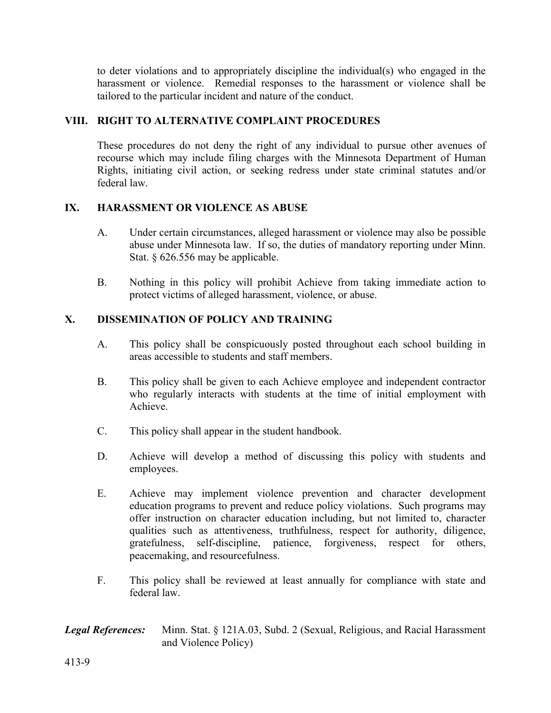to deter violations and to appropriately discipline the individual(s) who engaged in the harassment or violence. Remedial responses to the harassment or violence shall be tailored to the particular incident and nature of the conduct.

### **VIII. RIGHT TO ALTERNATIVE COMPLAINT PROCEDURES**

These procedures do not deny the right of any individual to pursue other avenues of recourse which may include filing charges with the Minnesota Department of Human Rights, initiating civil action, or seeking redress under state criminal statutes and/or federal law.

#### **IX. HARASSMENT OR VIOLENCE AS ABUSE**

- A. Under certain circumstances, alleged harassment or violence may also be possible abuse under Minnesota law. If so, the duties of mandatory reporting under Minn. Stat. § 626.556 may be applicable.
- B. Nothing in this policy will prohibit Achieve from taking immediate action to protect victims of alleged harassment, violence, or abuse.

## **X. DISSEMINATION OF POLICY AND TRAINING**

- A. This policy shall be conspicuously posted throughout each school building in areas accessible to students and staff members.
- B. This policy shall be given to each Achieve employee and independent contractor who regularly interacts with students at the time of initial employment with Achieve.
- C. This policy shall appear in the student handbook.
- D. Achieve will develop a method of discussing this policy with students and employees.
- E. Achieve may implement violence prevention and character development education programs to prevent and reduce policy violations. Such programs may offer instruction on character education including, but not limited to, character qualities such as attentiveness, truthfulness, respect for authority, diligence, gratefulness, self-discipline, patience, forgiveness, respect for others, peacemaking, and resourcefulness.
- F. This policy shall be reviewed at least annually for compliance with state and federal law.

### *Legal References:* Minn. Stat. § 121A.03, Subd. 2 (Sexual, Religious, and Racial Harassment and Violence Policy)